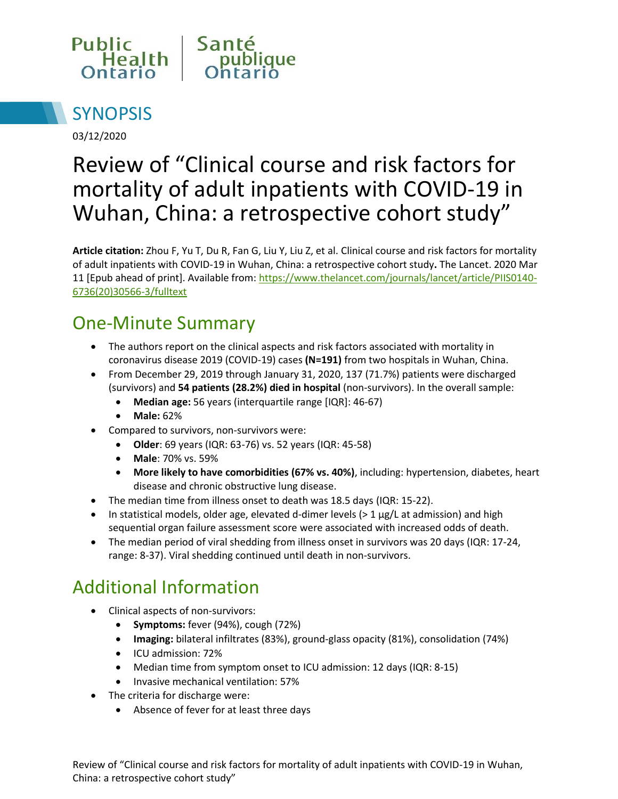



03/12/2020

# Review of "Clinical course and risk factors for mortality of adult inpatients with COVID-19 in Wuhan, China: a retrospective cohort study"

**Article citation:** Zhou F, Yu T, Du R, Fan G, Liu Y, Liu Z, et al. Clinical course and risk factors for mortality of adult inpatients with COVID-19 in Wuhan, China: a retrospective cohort study**.** The Lancet. 2020 Mar 11 [Epub ahead of print]. Available from: [https://www.thelancet.com/journals/lancet/article/PIIS0140-](https://www.thelancet.com/journals/lancet/article/PIIS0140-6736(20)30566-3/fulltext) [6736\(20\)30566-3/fulltext](https://www.thelancet.com/journals/lancet/article/PIIS0140-6736(20)30566-3/fulltext)

## One-Minute Summary

- The authors report on the clinical aspects and risk factors associated with mortality in coronavirus disease 2019 (COVID-19) cases **(N=191)** from two hospitals in Wuhan, China.
- From December 29, 2019 through January 31, 2020, 137 (71.7%) patients were discharged (survivors) and **54 patients (28.2%) died in hospital** (non-survivors). In the overall sample:
	- **Median age:** 56 years (interquartile range [IQR]: 46-67)
	- **Male:** 62%
	- Compared to survivors, non-survivors were:
		- **Older**: 69 years (IQR: 63-76) vs. 52 years (IQR: 45-58)
		- **Male**: 70% vs. 59%
		- **More likely to have comorbidities (67% vs. 40%)**, including: hypertension, diabetes, heart disease and chronic obstructive lung disease.
- The median time from illness onset to death was 18.5 days (IQR: 15-22).
- In statistical models, older age, elevated d-dimer levels  $(>1 \mu g/L)$  at admission) and high sequential organ failure assessment score were associated with increased odds of death.
- The median period of viral shedding from illness onset in survivors was 20 days (IQR: 17-24, range: 8-37). Viral shedding continued until death in non-survivors.

# Additional Information

- Clinical aspects of non-survivors:
	- **Symptoms:** fever (94%), cough (72%)
	- **Imaging:** bilateral infiltrates (83%), ground-glass opacity (81%), consolidation (74%)
	- ICU admission: 72%
	- Median time from symptom onset to ICU admission: 12 days (IQR: 8-15)
	- **•** Invasive mechanical ventilation: 57%
- The criteria for discharge were:
	- Absence of fever for at least three days

Review of "Clinical course and risk factors for mortality of adult inpatients with COVID-19 in Wuhan, China: a retrospective cohort study"